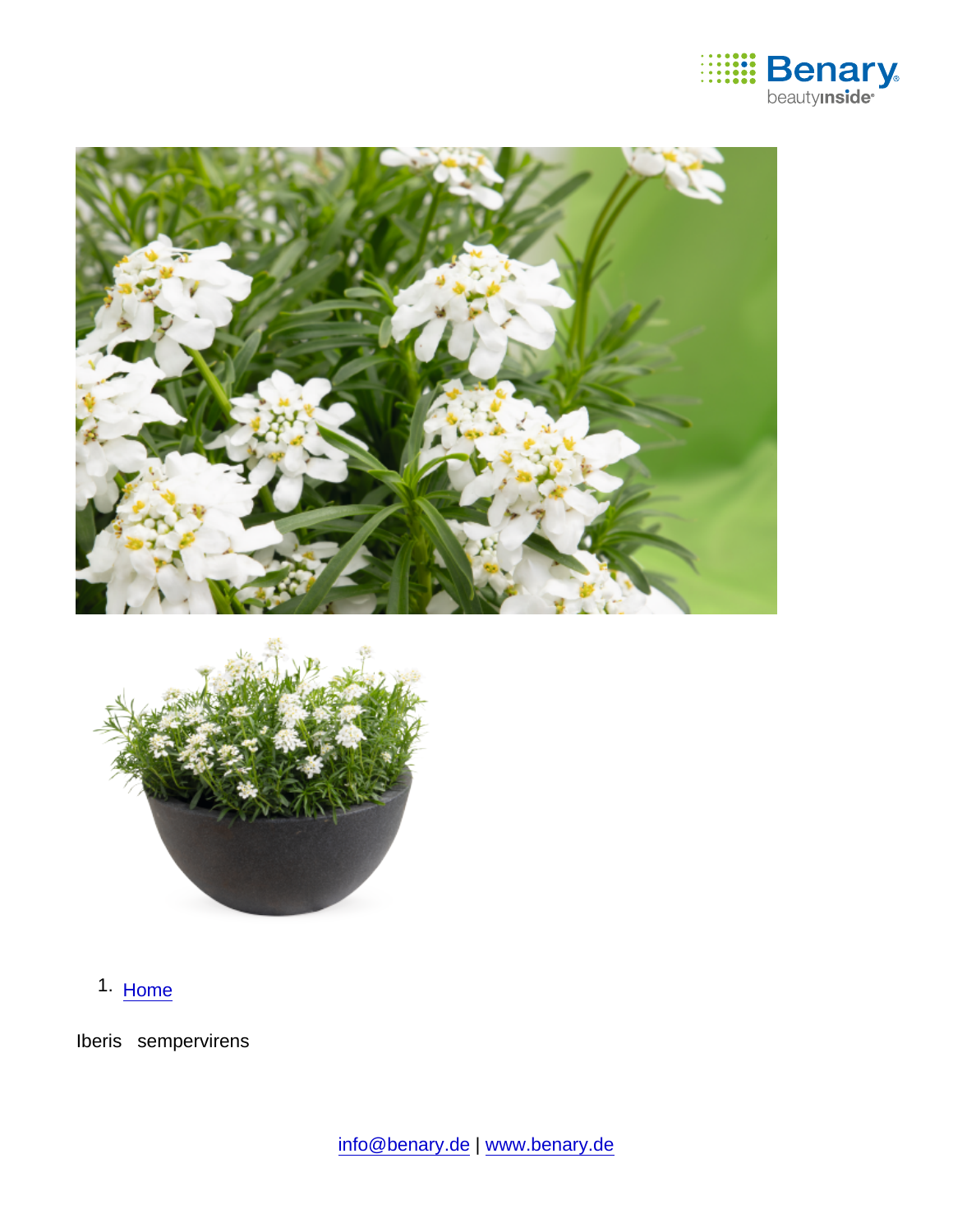

1. [Home](https://www.benary.com/)

Iberis sempervirens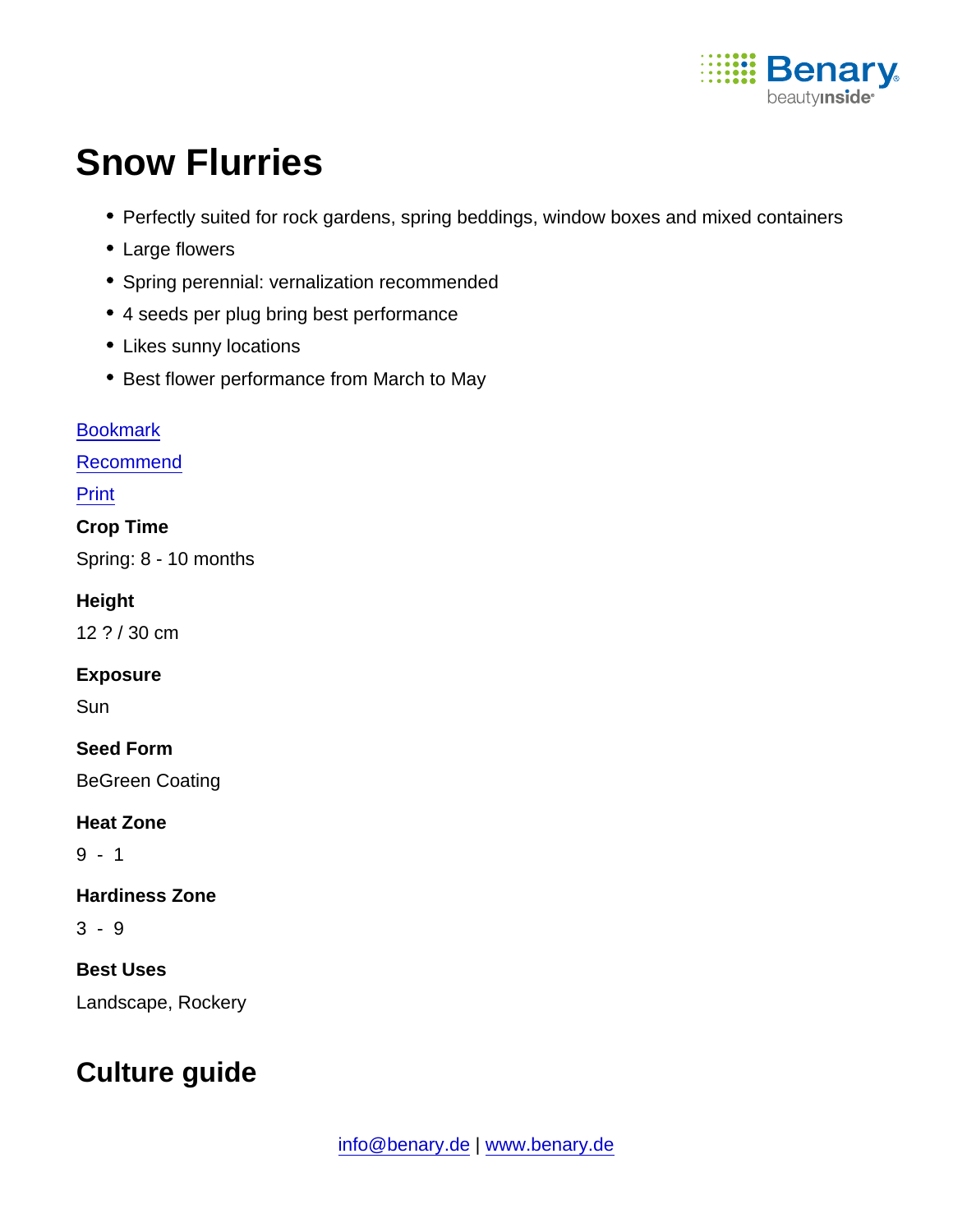

# Snow Flurries

- Perfectly suited for rock gardens, spring beddings, window boxes and mixed containers
- Large flowers
- Spring perennial: vernalization recommended
- 4 seeds per plug bring best performance
- Likes sunny locations
- Best flower performance from March to May

**[Bookmark](https://www.benary.com/flag/flag/product/5995?destination&token=MbVxJOd87On0JmdPUFICSnnraWemNn_DB_pKA9t-1sc)** [Recommend](mailto:?subject=Benary Iberis sempervirens &body=https://www.benary.com/print/pdf/node/5995) Print Crop Time Spring: 8 - 10 months **Height** 12 ? / 30 cm Exposure **Sun** Seed Form BeGreen Coating Heat Zone 9 - 1 Hardiness Zone 3 - 9 Best Uses Landscape, Rockery

## Culture guide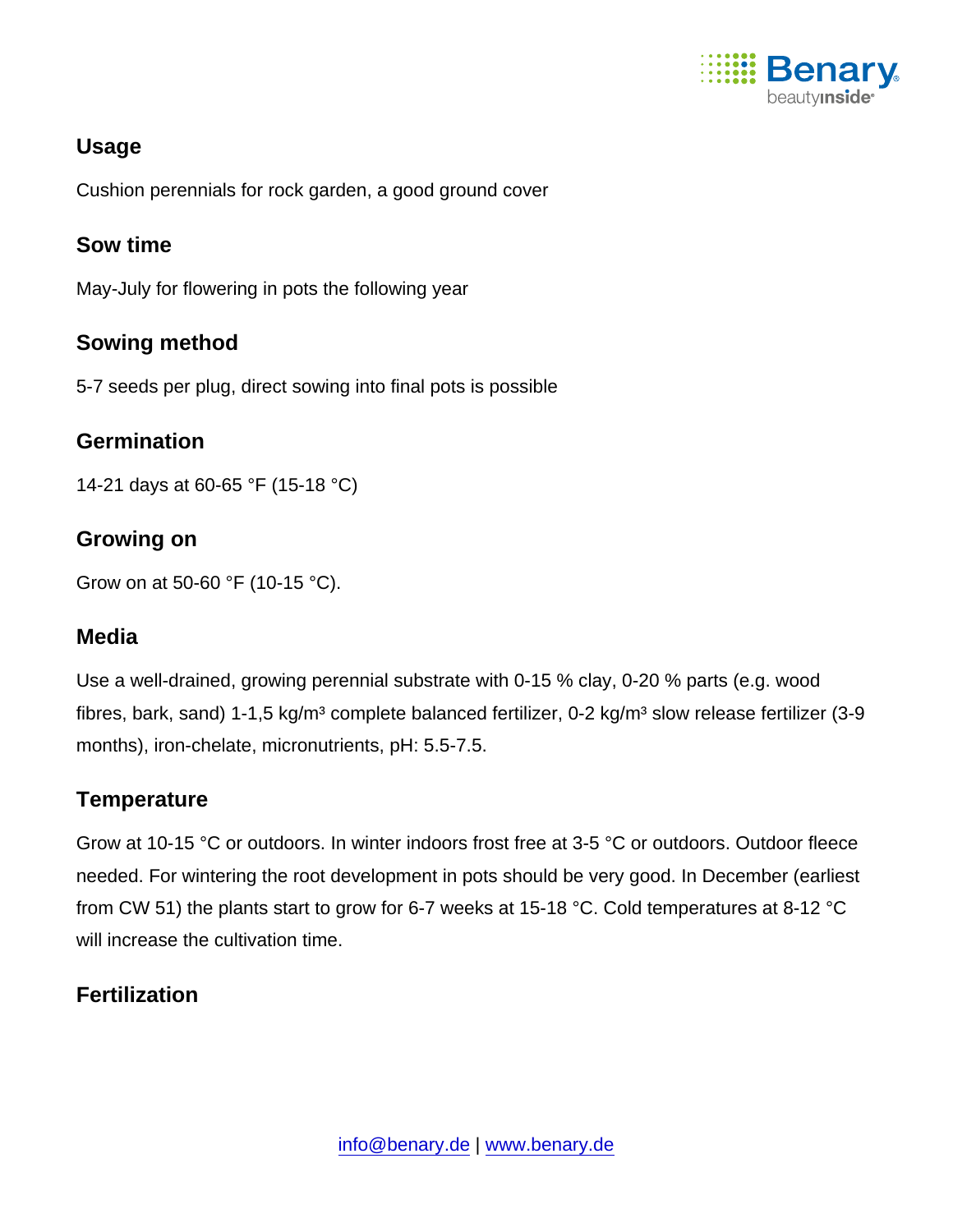

### Usage

Cushion perennials for rock garden, a good ground cover

#### Sow time

May-July for flowering in pots the following year

#### Sowing method

5-7 seeds per plug, direct sowing into final pots is possible

#### **Germination**

14-21 days at 60-65 °F (15-18 °C)

#### Growing on

Grow on at 50-60 °F (10-15 °C).

#### Media

Use a well-drained, growing perennial substrate with 0-15 % clay, 0-20 % parts (e.g. wood fibres, bark, sand) 1-1,5 kg/m<sup>3</sup> complete balanced fertilizer, 0-2 kg/m<sup>3</sup> slow release fertilizer (3-9 months), iron-chelate, micronutrients, pH: 5.5-7.5.

#### **Temperature**

Grow at 10-15 °C or outdoors. In winter indoors frost free at 3-5 °C or outdoors. Outdoor fleece needed. For wintering the root development in pots should be very good. In December (earliest from CW 51) the plants start to grow for 6-7 weeks at 15-18 °C. Cold temperatures at 8-12 °C will increase the cultivation time.

#### **Fertilization**